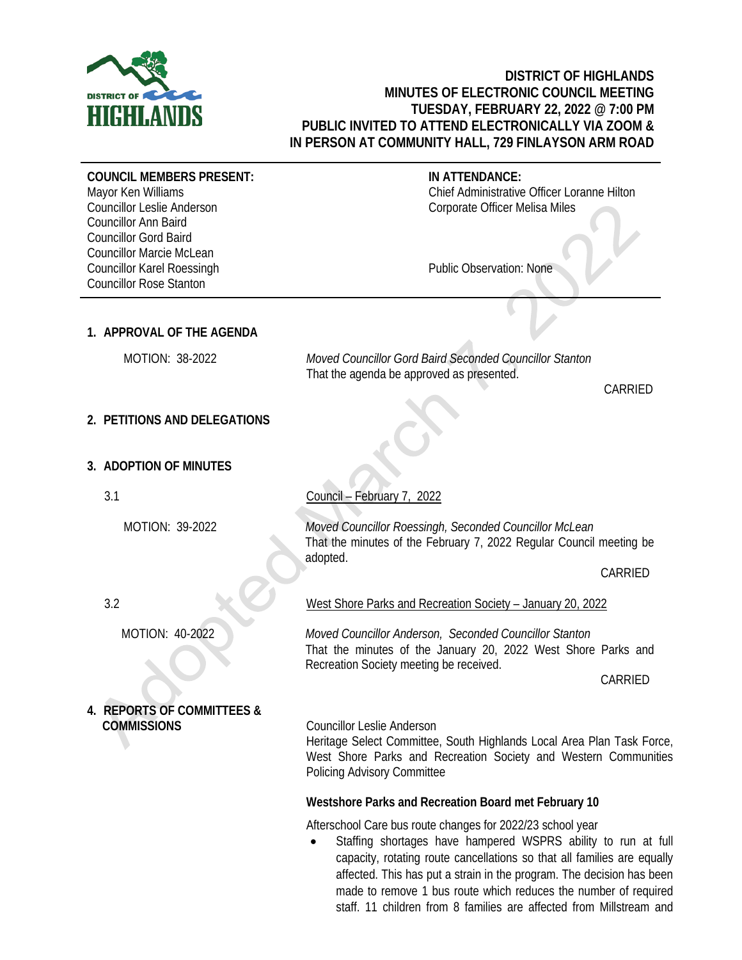

## **DISTRICT OF HIGHLANDS MINUTES OF ELECTRONIC COUNCIL MEETING TUESDAY, FEBRUARY 22, 2022 @ 7:00 PM PUBLIC INVITED TO ATTEND ELECTRONICALLY VIA ZOOM & IN PERSON AT COMMUNITY HALL, 729 FINLAYSON ARM ROAD**

**COUNCIL MEMBERS PRESENT:** Mayor Ken Williams

Councillor Leslie Anderson Councillor Ann Baird Councillor Gord Baird Councillor Marcie McLean Councillor Karel Roessingh Councillor Rose Stanton

## **IN ATTENDANCE:**

Chief Administrative Officer Loranne Hilton Corporate Officer Melisa Miles

Public Observation: None

## **1. APPROVAL OF THE AGENDA**

 MOTION: 38-2022 *Moved Councillor Gord Baird Seconded Councillor Stanton* That the agenda be approved as presented.

CARRIED

## **2. PETITIONS AND DELEGATIONS**

## **3. ADOPTION OF MINUTES**

3.1

MOTION: 39-2022

Council – February 7, 2022

*Moved Councillor Roessingh, Seconded Councillor McLean* That the minutes of the February 7, 2022 Regular Council meeting be adopted.

CARRIED

West Shore Parks and Recreation Society – January 20, 2022

*Moved Councillor Anderson, Seconded Councillor Stanton* That the minutes of the January 20, 2022 West Shore Parks and Recreation Society meeting be received.

CARRIED

Heritage Select Committee, South Highlands Local Area Plan Task Force, West Shore Parks and Recreation Society and Western Communities Policing Advisory Committee

## **Westshore Parks and Recreation Board met February 10**

Afterschool Care bus route changes for 2022/23 school year

• Staffing shortages have hampered WSPRS ability to run at full capacity, rotating route cancellations so that all families are equally affected. This has put a strain in the program. The decision has been made to remove 1 bus route which reduces the number of required staff. 11 children from 8 families are affected from Millstream and

3.2

MOTION: 40-2022

## **4. REPORTS OF COMMITTEES & COMMISSIONS** Councillor Leslie Anderson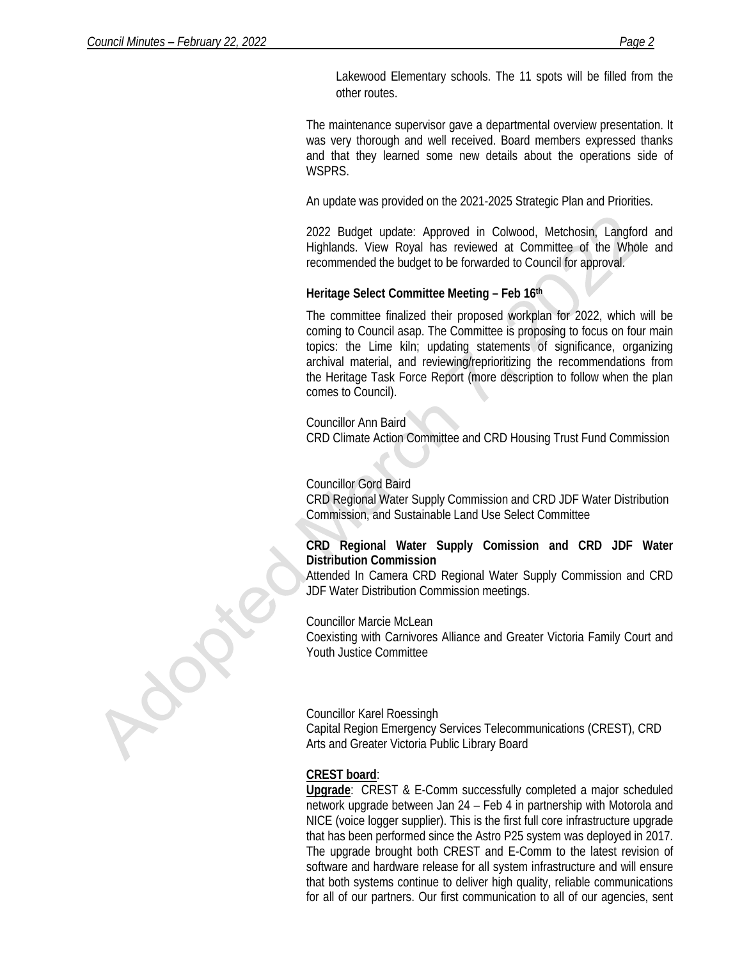Lakewood Elementary schools. The 11 spots will be filled from the other routes.

The maintenance supervisor gave a departmental overview presentation. It was very thorough and well received. Board members expressed thanks and that they learned some new details about the operations side of WSPRS.

An update was provided on the 2021-2025 Strategic Plan and Priorities.

2022 Budget update: Approved in Colwood, Metchosin, Langford and Highlands. View Royal has reviewed at Committee of the Whole and recommended the budget to be forwarded to Council for approval.

## **Heritage Select Committee Meeting – Feb 16th**

The committee finalized their proposed workplan for 2022, which will be coming to Council asap. The Committee is proposing to focus on four main topics: the Lime kiln; updating statements of significance, organizing archival material, and reviewing/reprioritizing the recommendations from the Heritage Task Force Report (more description to follow when the plan comes to Council).

#### Councillor Ann Baird

CRD Climate Action Committee and CRD Housing Trust Fund Commission

#### Councillor Gord Baird

CRD Regional Water Supply Commission and CRD JDF Water Distribution Commission, and Sustainable Land Use Select Committee

## **CRD Regional Water Supply Comission and CRD JDF Water Distribution Commission**

Attended In Camera CRD Regional Water Supply Commission and CRD JDF Water Distribution Commission meetings.

#### Councillor Marcie McLean

Coexisting with Carnivores Alliance and Greater Victoria Family Court and Youth Justice Committee

#### Councillor Karel Roessingh

Capital Region Emergency Services Telecommunications (CREST), CRD Arts and Greater Victoria Public Library Board

## **CREST board**:

**Upgrade**: CREST & E-Comm successfully completed a major scheduled network upgrade between Jan 24 – Feb 4 in partnership with Motorola and NICE (voice logger supplier). This is the first full core infrastructure upgrade that has been performed since the Astro P25 system was deployed in 2017. The upgrade brought both CREST and E-Comm to the latest revision of software and hardware release for all system infrastructure and will ensure that both systems continue to deliver high quality, reliable communications for all of our partners. Our first communication to all of our agencies, sent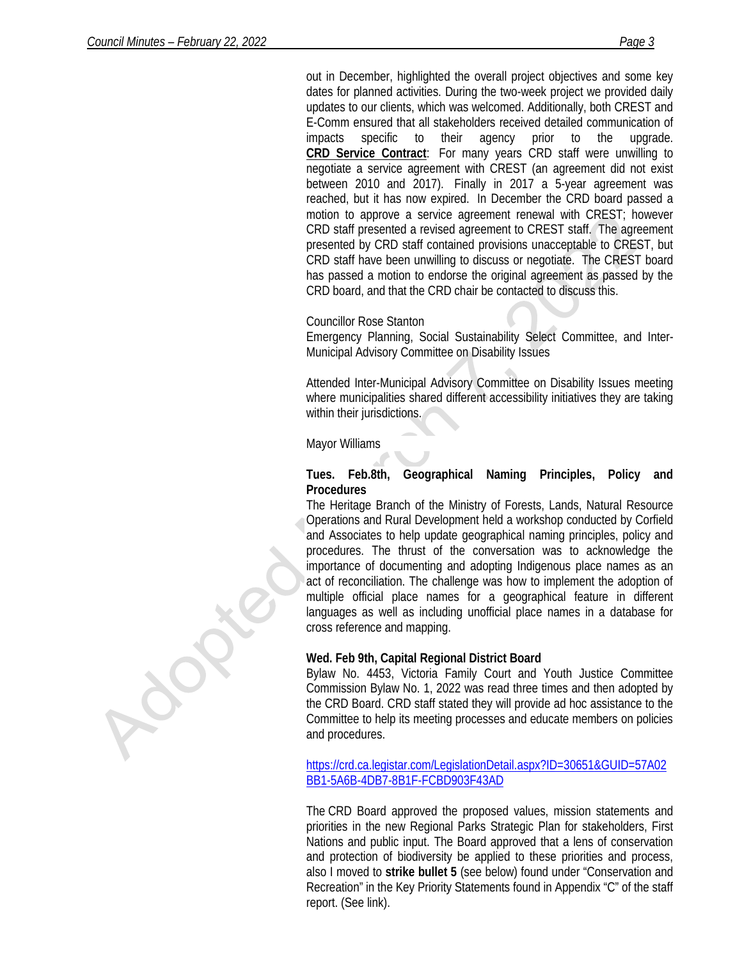out in December, highlighted the overall project objectives and some key dates for planned activities. During the two-week project we provided daily updates to our clients, which was welcomed. Additionally, both CREST and E-Comm ensured that all stakeholders received detailed communication of impacts specific to their agency prior to the upgrade. **CRD Service Contract**: For many years CRD staff were unwilling to negotiate a service agreement with CREST (an agreement did not exist between 2010 and 2017). Finally in 2017 a 5-year agreement was reached, but it has now expired. In December the CRD board passed a motion to approve a service agreement renewal with CREST; however CRD staff presented a revised agreement to CREST staff. The agreement presented by CRD staff contained provisions unacceptable to CREST, but CRD staff have been unwilling to discuss or negotiate. The CREST board has passed a motion to endorse the original agreement as passed by the CRD board, and that the CRD chair be contacted to discuss this.

#### Councillor Rose Stanton

Emergency Planning, Social Sustainability Select Committee, and Inter-Municipal Advisory Committee on Disability Issues

Attended Inter-Municipal Advisory Committee on Disability Issues meeting where municipalities shared different accessibility initiatives they are taking within their jurisdictions.

Mayor Williams

#### **Tues. Feb.8th, Geographical Naming Principles, Policy and Procedures**

The Heritage Branch of the Ministry of Forests, Lands, Natural Resource Operations and Rural Development held a workshop conducted by Corfield and Associates to help update geographical naming principles, policy and procedures. The thrust of the conversation was to acknowledge the importance of documenting and adopting Indigenous place names as an act of reconciliation. The challenge was how to implement the adoption of multiple official place names for a geographical feature in different languages as well as including unofficial place names in a database for cross reference and mapping.

#### **Wed. Feb 9th, Capital Regional District Board**

Bylaw No. 4453, Victoria Family Court and Youth Justice Committee Commission Bylaw No. 1, 2022 was read three times and then adopted by the CRD Board. CRD staff stated they will provide ad hoc assistance to the Committee to help its meeting processes and educate members on policies and procedures.

[https://crd.ca.legistar.com/LegislationDetail.aspx?ID=30651&GUID=57A02](https://crd.ca.legistar.com/LegislationDetail.aspx?ID=30651&GUID=57A02BB1-5A6B-4DB7-8B1F-FCBD903F43AD) [BB1-5A6B-4DB7-8B1F-FCBD903F43AD](https://crd.ca.legistar.com/LegislationDetail.aspx?ID=30651&GUID=57A02BB1-5A6B-4DB7-8B1F-FCBD903F43AD)

The CRD Board approved the proposed values, mission statements and priorities in the new Regional Parks Strategic Plan for stakeholders, First Nations and public input. The Board approved that a lens of conservation and protection of biodiversity be applied to these priorities and process, also I moved to **strike bullet 5** (see below) found under "Conservation and Recreation" in the Key Priority Statements found in Appendix "C" of the staff report. (See link).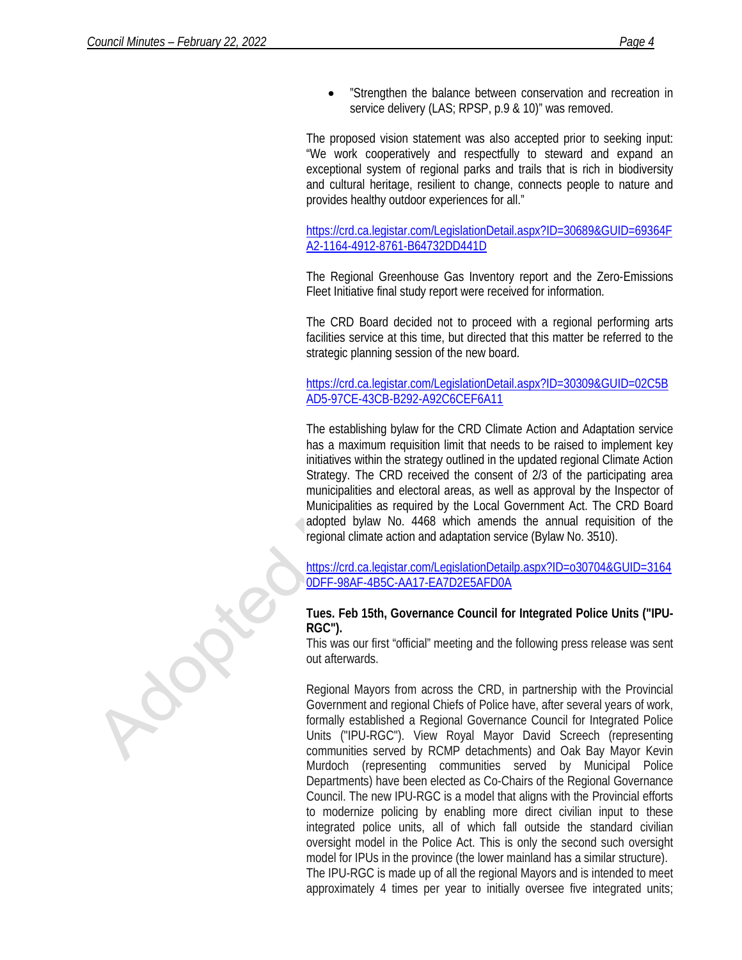• "Strengthen the balance between conservation and recreation in service delivery (LAS; RPSP, p.9 & 10)" was removed.

The proposed vision statement was also accepted prior to seeking input: "We work cooperatively and respectfully to steward and expand an exceptional system of regional parks and trails that is rich in biodiversity and cultural heritage, resilient to change, connects people to nature and provides healthy outdoor experiences for all."

[https://crd.ca.legistar.com/LegislationDetail.aspx?ID=30689&GUID=69364F](https://crd.ca.legistar.com/LegislationDetail.aspx?ID=30689&GUID=69364FA2-1164-4912-8761-B64732DD441D) [A2-1164-4912-8761-B64732DD441D](https://crd.ca.legistar.com/LegislationDetail.aspx?ID=30689&GUID=69364FA2-1164-4912-8761-B64732DD441D)

The Regional Greenhouse Gas Inventory report and the Zero-Emissions Fleet Initiative final study report were received for information.

The CRD Board decided not to proceed with a regional performing arts facilities service at this time, but directed that this matter be referred to the strategic planning session of the new board.

[https://crd.ca.legistar.com/LegislationDetail.aspx?ID=30309&GUID=02C5B](https://crd.ca.legistar.com/LegislationDetail.aspx?ID=30309&GUID=02C5BAD5-97CE-43CB-B292-A92C6CEF6A11) [AD5-97CE-43CB-B292-A92C6CEF6A11](https://crd.ca.legistar.com/LegislationDetail.aspx?ID=30309&GUID=02C5BAD5-97CE-43CB-B292-A92C6CEF6A11)

The establishing bylaw for the CRD Climate Action and Adaptation service has a maximum requisition limit that needs to be raised to implement key initiatives within the strategy outlined in the updated regional Climate Action Strategy. The CRD received the consent of 2/3 of the participating area municipalities and electoral areas, as well as approval by the Inspector of Municipalities as required by the Local Government Act. The CRD Board adopted bylaw No. 4468 which amends the annual requisition of the regional climate action and adaptation service (Bylaw No. 3510).

[https://crd.ca.legistar.com/LegislationDetailp.aspx?ID=o30704&GUID=3164](https://crd.ca.legistar.com/LegislationDetail.aspx?ID=30704&GUID=31640DFF-98AF-4B5C-AA17-EA7D2E5AFD0A) [0DFF-98AF-4B5C-AA17-EA7D2E5AFD0A](https://crd.ca.legistar.com/LegislationDetail.aspx?ID=30704&GUID=31640DFF-98AF-4B5C-AA17-EA7D2E5AFD0A)

#### **Tues. Feb 15th, Governance Council for Integrated Police Units ("IPU-RGC").**

This was our first "official" meeting and the following press release was sent out afterwards.

Regional Mayors from across the CRD, in partnership with the Provincial Government and regional Chiefs of Police have, after several years of work, formally established a Regional Governance Council for Integrated Police Units ("IPU-RGC"). View Royal Mayor David Screech (representing communities served by RCMP detachments) and Oak Bay Mayor Kevin Murdoch (representing communities served by Municipal Police Departments) have been elected as Co-Chairs of the Regional Governance Council. The new IPU-RGC is a model that aligns with the Provincial efforts to modernize policing by enabling more direct civilian input to these integrated police units, all of which fall outside the standard civilian oversight model in the Police Act. This is only the second such oversight model for IPUs in the province (the lower mainland has a similar structure). The IPU-RGC is made up of all the regional Mayors and is intended to meet

approximately 4 times per year to initially oversee five integrated units;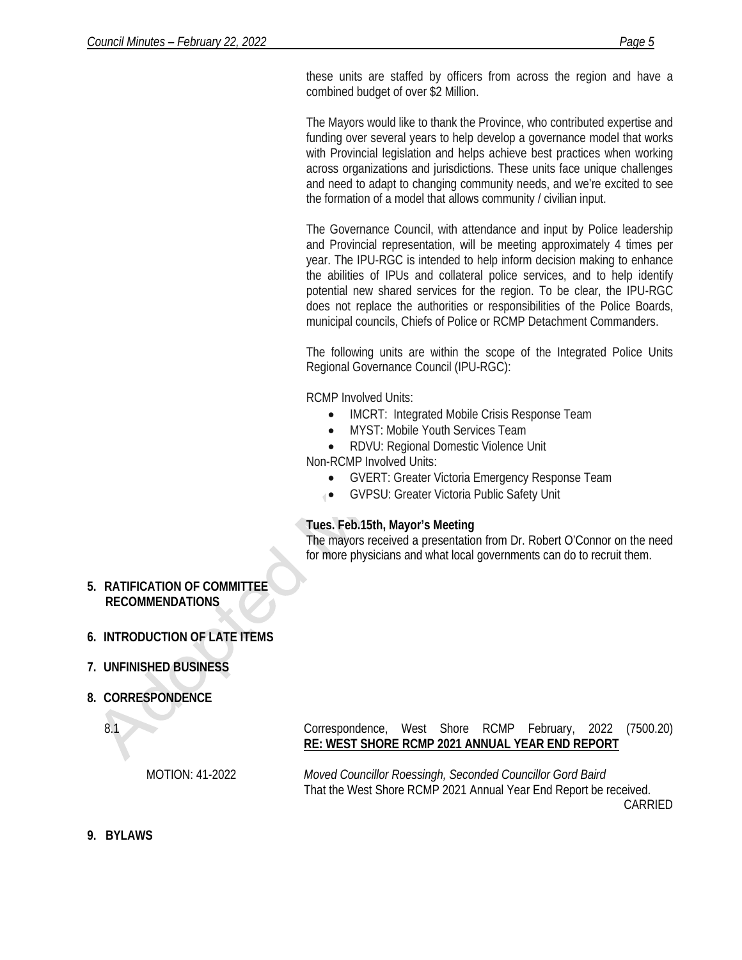these units are staffed by officers from across the region and have a combined budget of over \$2 Million.

The Mayors would like to thank the Province, who contributed expertise and funding over several years to help develop a governance model that works with Provincial legislation and helps achieve best practices when working across organizations and jurisdictions. These units face unique challenges and need to adapt to changing community needs, and we're excited to see the formation of a model that allows community / civilian input.

The Governance Council, with attendance and input by Police leadership and Provincial representation, will be meeting approximately 4 times per year. The IPU-RGC is intended to help inform decision making to enhance the abilities of IPUs and collateral police services, and to help identify potential new shared services for the region. To be clear, the IPU-RGC does not replace the authorities or responsibilities of the Police Boards, municipal councils, Chiefs of Police or RCMP Detachment Commanders.

The following units are within the scope of the Integrated Police Units Regional Governance Council (IPU-RGC):

RCMP Involved Units:

- IMCRT: Integrated Mobile Crisis Response Team
- MYST: Mobile Youth Services Team
- RDVU: Regional Domestic Violence Unit

Non-RCMP Involved Units:

- GVERT: Greater Victoria Emergency Response Team
- GVPSU: Greater Victoria Public Safety Unit

## **Tues. Feb.15th, Mayor's Meeting**

The mayors received a presentation from Dr. Robert O'Connor on the need for more physicians and what local governments can do to recruit them.

**5. RATIFICATION OF COMMITTEE RECOMMENDATIONS**

# **6. INTRODUCTION OF LATE ITEMS**

## **7. UNFINISHED BUSINESS**

## **8. CORRESPONDENCE**

8.1

MOTION: 41-2022

Correspondence, West Shore RCMP February, 2022 (7500.20) **RE: WEST SHORE RCMP 2021 ANNUAL YEAR END REPORT**

*Moved Councillor Roessingh, Seconded Councillor Gord Baird* That the West Shore RCMP 2021 Annual Year End Report be received. CARRIED

**9. BYLAWS**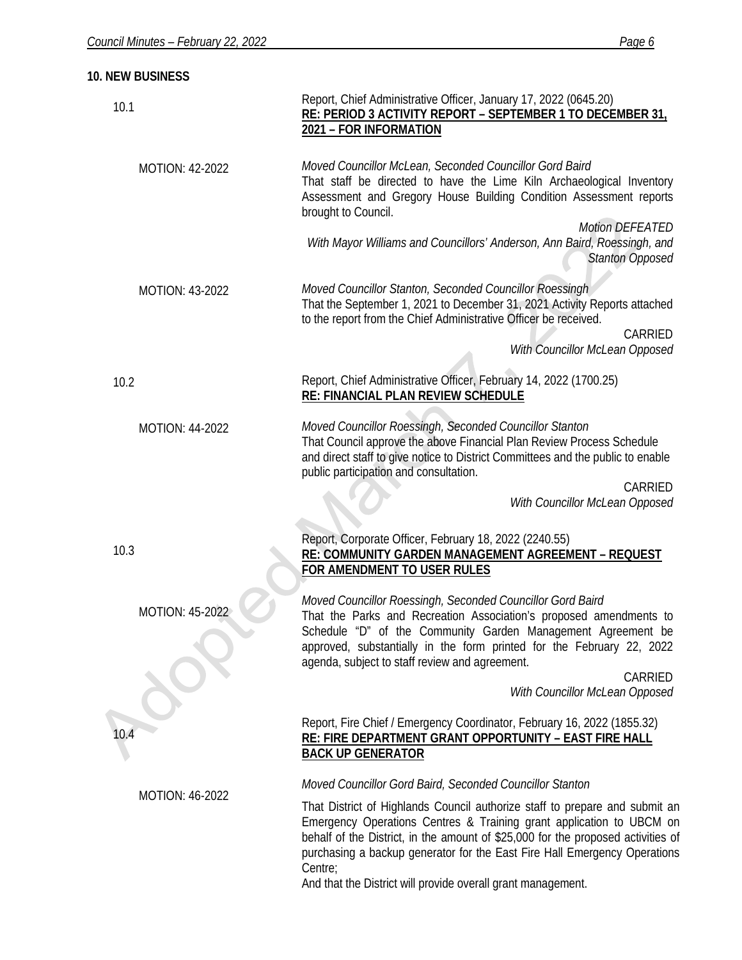**10. NEW BUSINESS**

| 10.1                   | Report, Chief Administrative Officer, January 17, 2022 (0645.20)<br>RE: PERIOD 3 ACTIVITY REPORT - SEPTEMBER 1 TO DECEMBER 31,<br>2021 - FOR INFORMATION                                                                                                                                                                            |
|------------------------|-------------------------------------------------------------------------------------------------------------------------------------------------------------------------------------------------------------------------------------------------------------------------------------------------------------------------------------|
| MOTION: 42-2022        | Moved Councillor McLean, Seconded Councillor Gord Baird<br>That staff be directed to have the Lime Kiln Archaeological Inventory<br>Assessment and Gregory House Building Condition Assessment reports<br>brought to Council.<br><b>Motion DEFEATED</b><br>With Mayor Williams and Councillors' Anderson, Ann Baird, Roessingh, and |
|                        | <b>Stanton Opposed</b>                                                                                                                                                                                                                                                                                                              |
| MOTION: 43-2022        | Moved Councillor Stanton, Seconded Councillor Roessingh<br>That the September 1, 2021 to December 31, 2021 Activity Reports attached<br>to the report from the Chief Administrative Officer be received.<br>CARRIED<br>With Councillor McLean Opposed                                                                               |
| 10.2                   | Report, Chief Administrative Officer, February 14, 2022 (1700.25)<br>RE: FINANCIAL PLAN REVIEW SCHEDULE                                                                                                                                                                                                                             |
| MOTION: 44-2022        | Moved Councillor Roessingh, Seconded Councillor Stanton<br>That Council approve the above Financial Plan Review Process Schedule<br>and direct staff to give notice to District Committees and the public to enable<br>public participation and consultation.                                                                       |
|                        | CARRIED<br>With Councillor McLean Opposed                                                                                                                                                                                                                                                                                           |
| 10.3                   | Report, Corporate Officer, February 18, 2022 (2240.55)<br>RE: COMMUNITY GARDEN MANAGEMENT AGREEMENT - REQUEST<br>FOR AMENDMENT TO USER RULES                                                                                                                                                                                        |
| <b>MOTION: 45-2022</b> | Moved Councillor Roessingh, Seconded Councillor Gord Baird<br>That the Parks and Recreation Association's proposed amendments to<br>Schedule "D" of the Community Garden Management Agreement be<br>approved, substantially in the form printed for the February 22, 2022<br>agenda, subject to staff review and agreement.         |
|                        | CARRIED<br>With Councillor McLean Opposed                                                                                                                                                                                                                                                                                           |
| 10.4                   | Report, Fire Chief / Emergency Coordinator, February 16, 2022 (1855.32)<br>RE: FIRE DEPARTMENT GRANT OPPORTUNITY - EAST FIRE HALL<br><b>BACK UP GENERATOR</b>                                                                                                                                                                       |
|                        | Moved Councillor Gord Baird, Seconded Councillor Stanton                                                                                                                                                                                                                                                                            |
| <b>MOTION: 46-2022</b> | That District of Highlands Council authorize staff to prepare and submit an<br>Emergency Operations Centres & Training grant application to UBCM on<br>behalf of the District, in the amount of \$25,000 for the proposed activities of<br>purchasing a backup generator for the East Fire Hall Emergency Operations<br>Centre;     |
|                        | And that the District will provide overall grant management.                                                                                                                                                                                                                                                                        |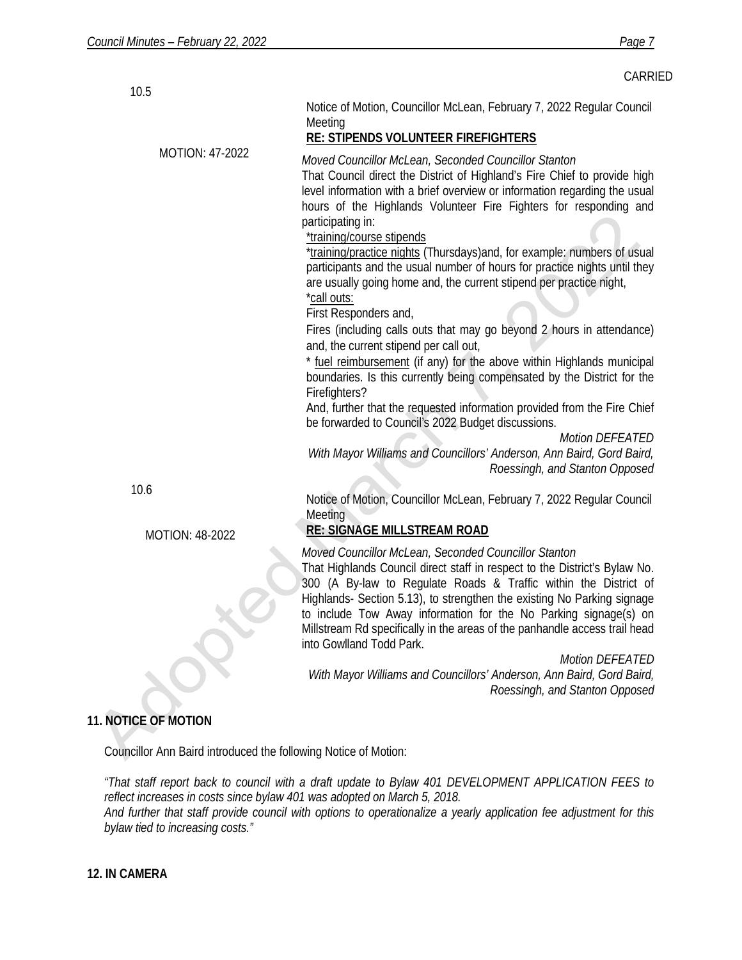|                        | CARRIED                                                                                                                                                                                                                                                                                                                                                                                                                                                                                                                                                                                                                                                                                                                                                                                                                                                                                                                                                                                                                                                                                                                                                                        |
|------------------------|--------------------------------------------------------------------------------------------------------------------------------------------------------------------------------------------------------------------------------------------------------------------------------------------------------------------------------------------------------------------------------------------------------------------------------------------------------------------------------------------------------------------------------------------------------------------------------------------------------------------------------------------------------------------------------------------------------------------------------------------------------------------------------------------------------------------------------------------------------------------------------------------------------------------------------------------------------------------------------------------------------------------------------------------------------------------------------------------------------------------------------------------------------------------------------|
| 10.5                   | Notice of Motion, Councillor McLean, February 7, 2022 Regular Council<br>Meeting<br>RE: STIPENDS VOLUNTEER FIREFIGHTERS                                                                                                                                                                                                                                                                                                                                                                                                                                                                                                                                                                                                                                                                                                                                                                                                                                                                                                                                                                                                                                                        |
| <b>MOTION: 47-2022</b> | Moved Councillor McLean, Seconded Councillor Stanton<br>That Council direct the District of Highland's Fire Chief to provide high<br>level information with a brief overview or information regarding the usual<br>hours of the Highlands Volunteer Fire Fighters for responding and<br>participating in:<br>*training/course stipends<br>*training/practice nights (Thursdays) and, for example: numbers of usual<br>participants and the usual number of hours for practice nights until they<br>are usually going home and, the current stipend per practice night,<br>*call outs:<br>First Responders and,<br>Fires (including calls outs that may go beyond 2 hours in attendance)<br>and, the current stipend per call out,<br>* fuel reimbursement (if any) for the above within Highlands municipal<br>boundaries. Is this currently being compensated by the District for the<br>Firefighters?<br>And, further that the requested information provided from the Fire Chief<br>be forwarded to Council's 2022 Budget discussions.<br><b>Motion DEFEATED</b><br>With Mayor Williams and Councillors' Anderson, Ann Baird, Gord Baird,<br>Roessingh, and Stanton Opposed |
| 10.6                   | Notice of Motion, Councillor McLean, February 7, 2022 Regular Council<br>Meeting                                                                                                                                                                                                                                                                                                                                                                                                                                                                                                                                                                                                                                                                                                                                                                                                                                                                                                                                                                                                                                                                                               |
| MOTION: 48-2022        | <b>RE: SIGNAGE MILLSTREAM ROAD</b>                                                                                                                                                                                                                                                                                                                                                                                                                                                                                                                                                                                                                                                                                                                                                                                                                                                                                                                                                                                                                                                                                                                                             |
|                        | Moved Councillor McLean, Seconded Councillor Stanton<br>That Highlands Council direct staff in respect to the District's Bylaw No.<br>300 (A By-law to Regulate Roads & Traffic within the District of<br>Highlands- Section 5.13), to strengthen the existing No Parking signage<br>to include Tow Away information for the No Parking signage(s) on<br>Millstream Rd specifically in the areas of the panhandle access trail head<br>into Gowlland Todd Park.<br><b>Motion DEFEATED</b>                                                                                                                                                                                                                                                                                                                                                                                                                                                                                                                                                                                                                                                                                      |
|                        | With Mayor Williams and Councillors' Anderson, Ann Baird, Gord Baird,<br>Roessingh, and Stanton Opposed                                                                                                                                                                                                                                                                                                                                                                                                                                                                                                                                                                                                                                                                                                                                                                                                                                                                                                                                                                                                                                                                        |

# **11. NOTICE OF MOTION**

Councillor Ann Baird introduced the following Notice of Motion:

*"That staff report back to council with a draft update to Bylaw 401 DEVELOPMENT APPLICATION FEES to reflect increases in costs since bylaw 401 was adopted on March 5, 2018. And further that staff provide council with options to operationalize a yearly application fee adjustment for this bylaw tied to increasing costs."*

**12. IN CAMERA**